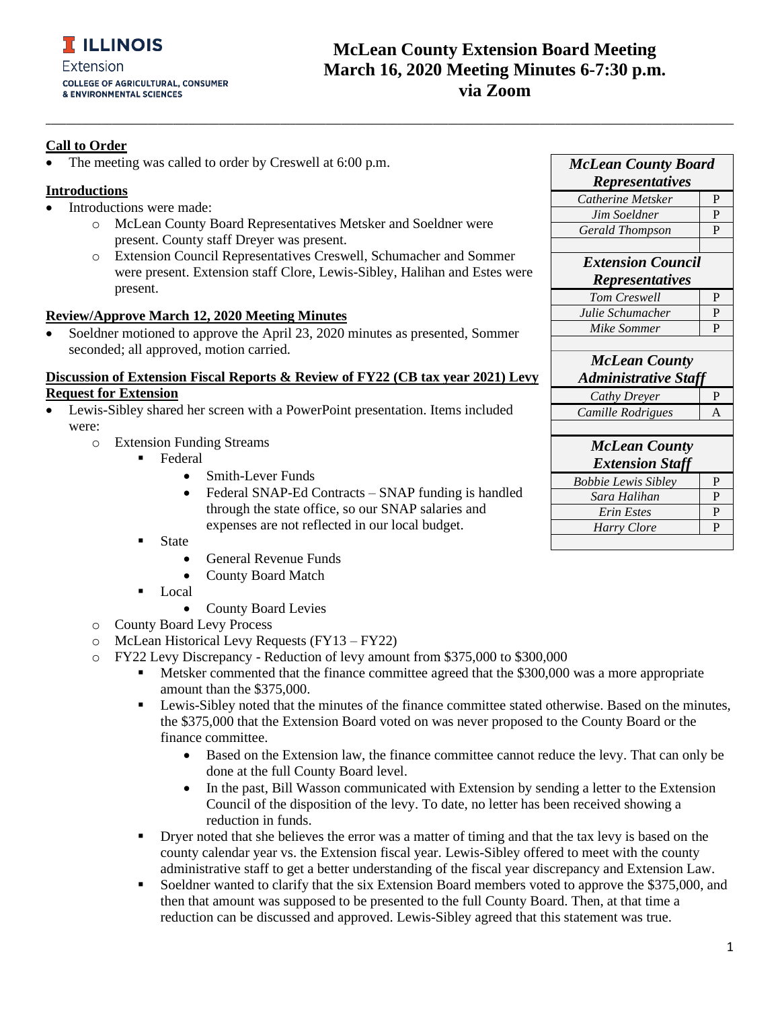## **McLean County Extension Board Meeting March 16, 2020 Meeting Minutes 6-7:30 p.m. via Zoom**

### **Call to Order**

The meeting was called to order by Creswell at 6:00 p.m.

#### **Introductions**

- Introductions were made:
	- o McLean County Board Representatives Metsker and Soeldner were present. County staff Dreyer was present.
	- o Extension Council Representatives Creswell, Schumacher and Sommer were present. Extension staff Clore, Lewis-Sibley, Halihan and Estes were present.

**\_\_\_\_\_\_\_\_\_\_\_\_\_\_\_\_\_\_\_\_\_\_\_\_\_\_\_\_\_\_\_\_\_\_\_\_\_\_\_\_\_\_\_\_\_\_\_\_\_\_\_\_\_\_\_\_\_\_\_\_\_\_\_\_\_\_\_\_\_\_\_\_\_\_\_\_\_\_\_\_\_\_\_\_\_\_\_\_\_\_\_\_\_\_\_\_\_\_\_\_\_\_\_\_\_\_\_\_\_\_\_\_\_\_\_\_\_\_\_\_\_\_\_\_\_\_\_\_\_\_\_\_\_\_\_**

#### **Review/Approve March 12, 2020 Meeting Minutes**

• Soeldner motioned to approve the April 23, 2020 minutes as presented, Sommer seconded; all approved, motion carried.

### **Discussion of Extension Fiscal Reports & Review of FY22 (CB tax year 2021) Levy Request for Extension**

- Lewis-Sibley shared her screen with a PowerPoint presentation. Items included were:
	- o Extension Funding Streams
		- Federal
			- Smith-Lever Funds
			- Federal SNAP-Ed Contracts SNAP funding is handled through the state office, so our SNAP salaries and expenses are not reflected in our local budget.
			- State
				- General Revenue Funds
				- County Board Match
			- Local
				- County Board Levies
	- o County Board Levy Process
	- o McLean Historical Levy Requests (FY13 FY22)
	- o FY22 Levy Discrepancy Reduction of levy amount from \$375,000 to \$300,000
		- Metsker commented that the finance committee agreed that the \$300,000 was a more appropriate amount than the \$375,000.
		- **•** Lewis-Sibley noted that the minutes of the finance committee stated otherwise. Based on the minutes, the \$375,000 that the Extension Board voted on was never proposed to the County Board or the finance committee.
			- Based on the Extension law, the finance committee cannot reduce the levy. That can only be done at the full County Board level.
			- In the past, Bill Wasson communicated with Extension by sending a letter to the Extension Council of the disposition of the levy. To date, no letter has been received showing a reduction in funds.
		- **•** Dryer noted that she believes the error was a matter of timing and that the tax levy is based on the county calendar year vs. the Extension fiscal year. Lewis-Sibley offered to meet with the county administrative staff to get a better understanding of the fiscal year discrepancy and Extension Law.
		- Soeldner wanted to clarify that the six Extension Board members voted to approve the \$375,000, and then that amount was supposed to be presented to the full County Board. Then, at that time a reduction can be discussed and approved. Lewis-Sibley agreed that this statement was true.

| <b>McLean County Board</b>  |                |
|-----------------------------|----------------|
| <b>Representatives</b>      |                |
| Catherine Metsker           | P              |
| Jim Soeldner                | P              |
| Gerald Thompson             | P              |
|                             |                |
| <b>Extension Council</b>    |                |
| <b>Representatives</b>      |                |
| Tom Creswell                | P              |
| Julie Schumacher            | P              |
| Mike Sommer                 | P              |
|                             |                |
| <b>McLean County</b>        |                |
| <b>Administrative Staff</b> |                |
| Cathy Dreyer                | P              |
| Camille Rodrigues           | $\overline{A}$ |
|                             |                |
| <b>McLean County</b>        |                |
| <b>Extension Staff</b>      |                |
| <b>Bobbie Lewis Sibley</b>  | P              |
| Sara Halihan                | P              |
| Erin Estes                  | P              |
| <b>Harry Clore</b>          | P              |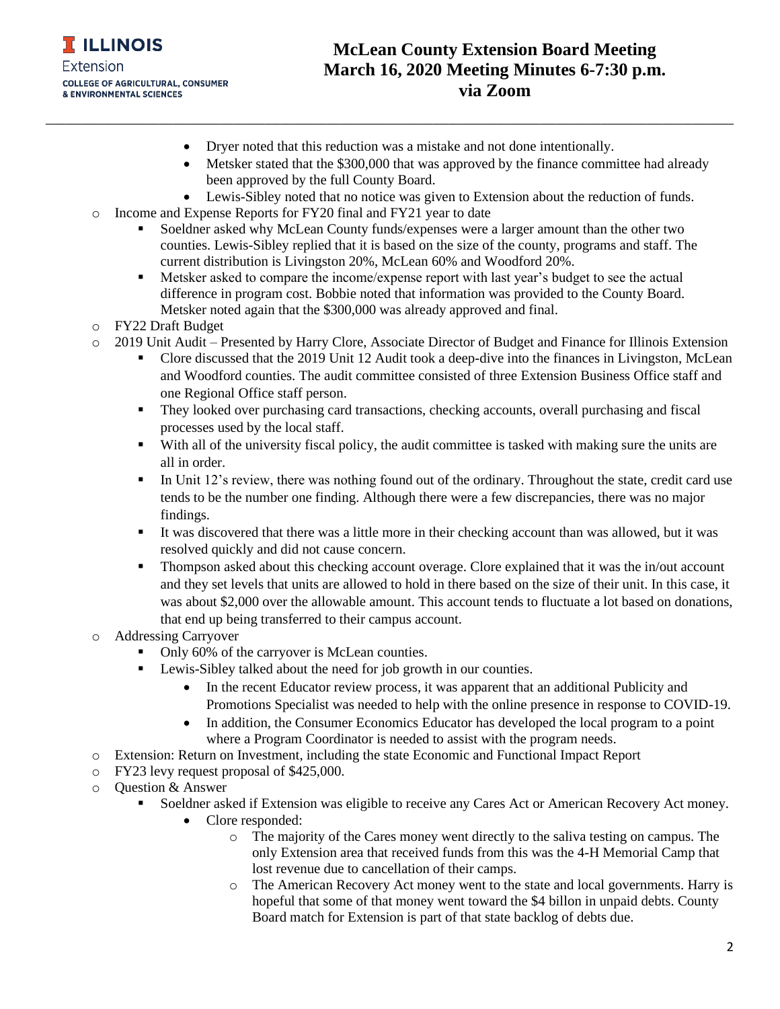

• Dryer noted that this reduction was a mistake and not done intentionally.

**\_\_\_\_\_\_\_\_\_\_\_\_\_\_\_\_\_\_\_\_\_\_\_\_\_\_\_\_\_\_\_\_\_\_\_\_\_\_\_\_\_\_\_\_\_\_\_\_\_\_\_\_\_\_\_\_\_\_\_\_\_\_\_\_\_\_\_\_\_\_\_\_\_\_\_\_\_\_\_\_\_\_\_\_\_\_\_\_\_\_\_\_\_\_\_\_\_\_\_\_\_\_\_\_\_\_\_\_\_\_\_\_\_\_\_\_\_\_\_\_\_\_\_\_\_\_\_\_\_\_\_\_\_\_\_**

- Metsker stated that the \$300,000 that was approved by the finance committee had already been approved by the full County Board.
- Lewis-Sibley noted that no notice was given to Extension about the reduction of funds.
- o Income and Expense Reports for FY20 final and FY21 year to date
	- Soeldner asked why McLean County funds/expenses were a larger amount than the other two counties. Lewis-Sibley replied that it is based on the size of the county, programs and staff. The current distribution is Livingston 20%, McLean 60% and Woodford 20%.
	- **EXECUTE:** Metsker asked to compare the income/expense report with last year's budget to see the actual difference in program cost. Bobbie noted that information was provided to the County Board. Metsker noted again that the \$300,000 was already approved and final.
- o FY22 Draft Budget
- o 2019 Unit Audit Presented by Harry Clore, Associate Director of Budget and Finance for Illinois Extension
	- Clore discussed that the 2019 Unit 12 Audit took a deep-dive into the finances in Livingston, McLean and Woodford counties. The audit committee consisted of three Extension Business Office staff and one Regional Office staff person.
	- They looked over purchasing card transactions, checking accounts, overall purchasing and fiscal processes used by the local staff.
	- With all of the university fiscal policy, the audit committee is tasked with making sure the units are all in order.
	- **I.** In Unit 12's review, there was nothing found out of the ordinary. Throughout the state, credit card use tends to be the number one finding. Although there were a few discrepancies, there was no major findings.
	- It was discovered that there was a little more in their checking account than was allowed, but it was resolved quickly and did not cause concern.
	- **•** Thompson asked about this checking account overage. Clore explained that it was the in/out account and they set levels that units are allowed to hold in there based on the size of their unit. In this case, it was about \$2,000 over the allowable amount. This account tends to fluctuate a lot based on donations, that end up being transferred to their campus account.
- o Addressing Carryover
	- Only 60% of the carryover is McLean counties.
	- Lewis-Sibley talked about the need for job growth in our counties.
		- In the recent Educator review process, it was apparent that an additional Publicity and Promotions Specialist was needed to help with the online presence in response to COVID-19.
		- In addition, the Consumer Economics Educator has developed the local program to a point where a Program Coordinator is needed to assist with the program needs.
- o Extension: Return on Investment, including the state Economic and Functional Impact Report
- o FY23 levy request proposal of \$425,000.
- o Question & Answer
	- Soeldner asked if Extension was eligible to receive any Cares Act or American Recovery Act money.
		- Clore responded:
			- $\circ$  The majority of the Cares money went directly to the saliva testing on campus. The only Extension area that received funds from this was the 4-H Memorial Camp that lost revenue due to cancellation of their camps.
			- o The American Recovery Act money went to the state and local governments. Harry is hopeful that some of that money went toward the \$4 billon in unpaid debts. County Board match for Extension is part of that state backlog of debts due.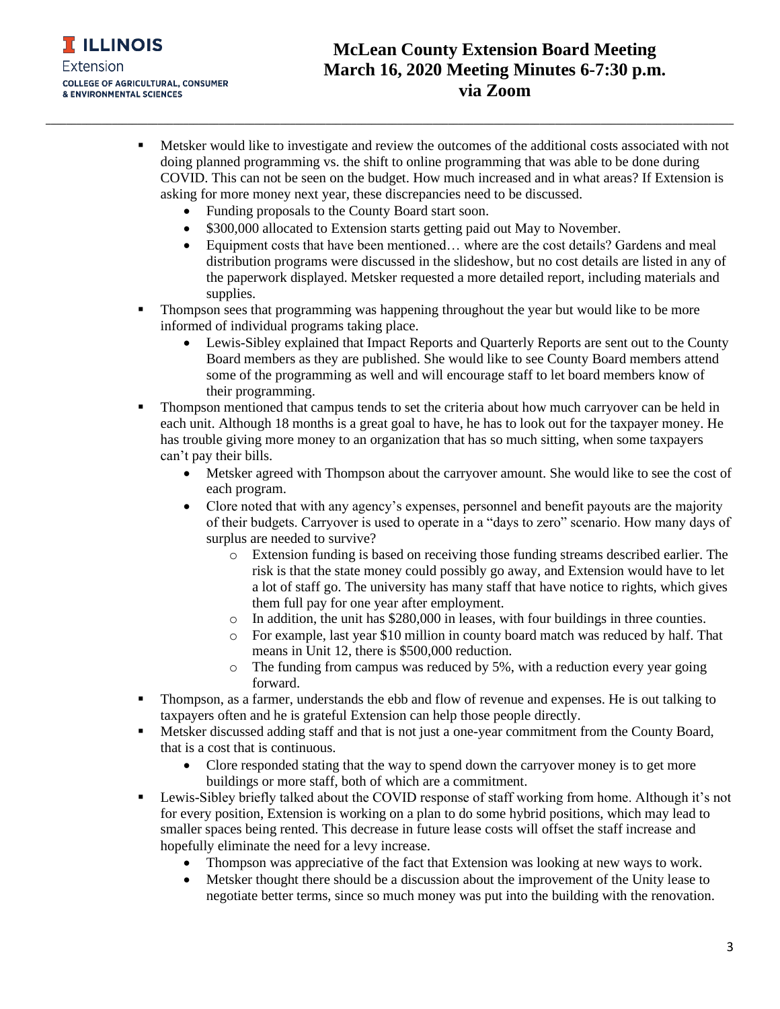

# **McLean County Extension Board Meeting March 16, 2020 Meeting Minutes 6-7:30 p.m. via Zoom**

- **EXECUTE:** Metsker would like to investigate and review the outcomes of the additional costs associated with not doing planned programming vs. the shift to online programming that was able to be done during COVID. This can not be seen on the budget. How much increased and in what areas? If Extension is asking for more money next year, these discrepancies need to be discussed.
	- Funding proposals to the County Board start soon.
	- \$300,000 allocated to Extension starts getting paid out May to November.

**\_\_\_\_\_\_\_\_\_\_\_\_\_\_\_\_\_\_\_\_\_\_\_\_\_\_\_\_\_\_\_\_\_\_\_\_\_\_\_\_\_\_\_\_\_\_\_\_\_\_\_\_\_\_\_\_\_\_\_\_\_\_\_\_\_\_\_\_\_\_\_\_\_\_\_\_\_\_\_\_\_\_\_\_\_\_\_\_\_\_\_\_\_\_\_\_\_\_\_\_\_\_\_\_\_\_\_\_\_\_\_\_\_\_\_\_\_\_\_\_\_\_\_\_\_\_\_\_\_\_\_\_\_\_\_**

- Equipment costs that have been mentioned... where are the cost details? Gardens and meal distribution programs were discussed in the slideshow, but no cost details are listed in any of the paperwork displayed. Metsker requested a more detailed report, including materials and supplies.
- Thompson sees that programming was happening throughout the year but would like to be more informed of individual programs taking place.
	- Lewis-Sibley explained that Impact Reports and Quarterly Reports are sent out to the County Board members as they are published. She would like to see County Board members attend some of the programming as well and will encourage staff to let board members know of their programming.
- **•** Thompson mentioned that campus tends to set the criteria about how much carryover can be held in each unit. Although 18 months is a great goal to have, he has to look out for the taxpayer money. He has trouble giving more money to an organization that has so much sitting, when some taxpayers can't pay their bills.
	- Metsker agreed with Thompson about the carryover amount. She would like to see the cost of each program.
	- Clore noted that with any agency's expenses, personnel and benefit payouts are the majority of their budgets. Carryover is used to operate in a "days to zero" scenario. How many days of surplus are needed to survive?
		- o Extension funding is based on receiving those funding streams described earlier. The risk is that the state money could possibly go away, and Extension would have to let a lot of staff go. The university has many staff that have notice to rights, which gives them full pay for one year after employment.
		- o In addition, the unit has \$280,000 in leases, with four buildings in three counties.
		- o For example, last year \$10 million in county board match was reduced by half. That means in Unit 12, there is \$500,000 reduction.
		- $\circ$  The funding from campus was reduced by 5%, with a reduction every year going forward.
- **•** Thompson, as a farmer, understands the ebb and flow of revenue and expenses. He is out talking to taxpayers often and he is grateful Extension can help those people directly.
- **■** Metsker discussed adding staff and that is not just a one-year commitment from the County Board, that is a cost that is continuous.
	- Clore responded stating that the way to spend down the carryover money is to get more buildings or more staff, both of which are a commitment.
- **EXECUTE:** Lewis-Sibley briefly talked about the COVID response of staff working from home. Although it's not for every position, Extension is working on a plan to do some hybrid positions, which may lead to smaller spaces being rented. This decrease in future lease costs will offset the staff increase and hopefully eliminate the need for a levy increase.
	- Thompson was appreciative of the fact that Extension was looking at new ways to work.
	- Metsker thought there should be a discussion about the improvement of the Unity lease to negotiate better terms, since so much money was put into the building with the renovation.